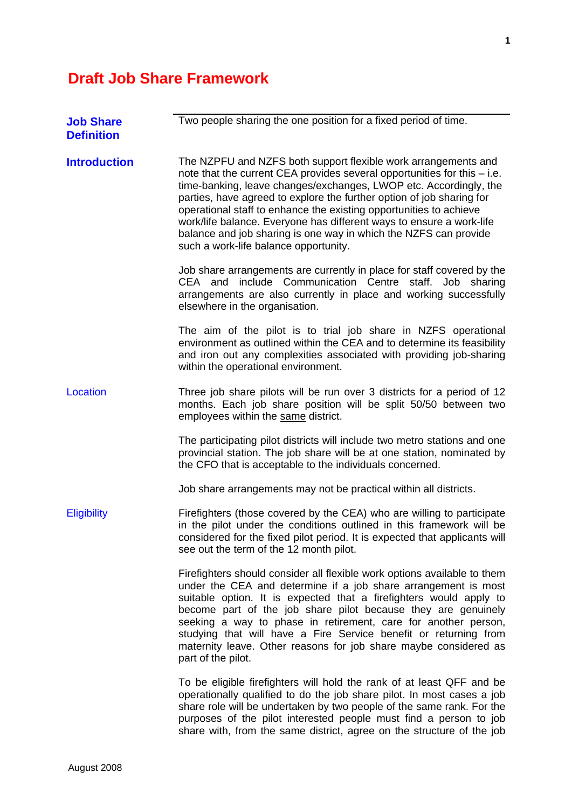## **Draft Job Share Framework**

| <b>Job Share</b><br><b>Definition</b> | Two people sharing the one position for a fixed period of time.                                                                                                                                                                                                                                                                                                                                                                                                                                                                                       |
|---------------------------------------|-------------------------------------------------------------------------------------------------------------------------------------------------------------------------------------------------------------------------------------------------------------------------------------------------------------------------------------------------------------------------------------------------------------------------------------------------------------------------------------------------------------------------------------------------------|
| <b>Introduction</b>                   | The NZPFU and NZFS both support flexible work arrangements and<br>note that the current CEA provides several opportunities for this $-$ i.e.<br>time-banking, leave changes/exchanges, LWOP etc. Accordingly, the<br>parties, have agreed to explore the further option of job sharing for<br>operational staff to enhance the existing opportunities to achieve<br>work/life balance. Everyone has different ways to ensure a work-life<br>balance and job sharing is one way in which the NZFS can provide<br>such a work-life balance opportunity. |
|                                       | Job share arrangements are currently in place for staff covered by the<br>CEA and include Communication Centre staff.<br>Job sharing<br>arrangements are also currently in place and working successfully<br>elsewhere in the organisation.                                                                                                                                                                                                                                                                                                           |
|                                       | The aim of the pilot is to trial job share in NZFS operational<br>environment as outlined within the CEA and to determine its feasibility<br>and iron out any complexities associated with providing job-sharing<br>within the operational environment.                                                                                                                                                                                                                                                                                               |
| Location                              | Three job share pilots will be run over 3 districts for a period of 12<br>months. Each job share position will be split 50/50 between two<br>employees within the same district.                                                                                                                                                                                                                                                                                                                                                                      |
|                                       | The participating pilot districts will include two metro stations and one<br>provincial station. The job share will be at one station, nominated by<br>the CFO that is acceptable to the individuals concerned.                                                                                                                                                                                                                                                                                                                                       |
|                                       | Job share arrangements may not be practical within all districts.                                                                                                                                                                                                                                                                                                                                                                                                                                                                                     |
| <b>Eligibility</b>                    | Firefighters (those covered by the CEA) who are willing to participate<br>in the pilot under the conditions outlined in this framework will be<br>considered for the fixed pilot period. It is expected that applicants will<br>see out the term of the 12 month pilot.                                                                                                                                                                                                                                                                               |
|                                       | Firefighters should consider all flexible work options available to them<br>under the CEA and determine if a job share arrangement is most<br>suitable option. It is expected that a firefighters would apply to<br>become part of the job share pilot because they are genuinely<br>seeking a way to phase in retirement, care for another person,<br>studying that will have a Fire Service benefit or returning from<br>maternity leave. Other reasons for job share maybe considered as<br>part of the pilot.                                     |
|                                       | To be eligible firefighters will hold the rank of at least QFF and be<br>operationally qualified to do the job share pilot. In most cases a job<br>share role will be undertaken by two people of the same rank. For the<br>purposes of the pilot interested people must find a person to job<br>share with, from the same district, agree on the structure of the job                                                                                                                                                                                |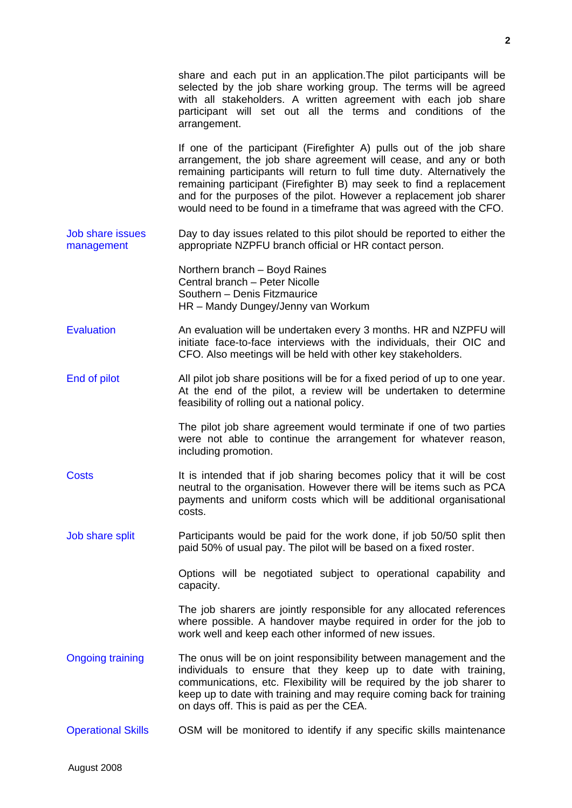share and each put in an application.The pilot participants will be selected by the job share working group. The terms will be agreed with all stakeholders. A written agreement with each job share participant will set out all the terms and conditions of the arrangement.

If one of the participant (Firefighter A) pulls out of the job share arrangement, the job share agreement will cease, and any or both remaining participants will return to full time duty. Alternatively the remaining participant (Firefighter B) may seek to find a replacement and for the purposes of the pilot. However a replacement job sharer would need to be found in a timeframe that was agreed with the CFO.

Job share issues management Day to day issues related to this pilot should be reported to either the appropriate NZPFU branch official or HR contact person.

> Northern branch – Boyd Raines Central branch – Peter Nicolle Southern – Denis Fitzmaurice HR – Mandy Dungey/Jenny van Workum

- Evaluation **An evaluation will be undertaken every 3 months. HR and NZPFU will** initiate face-to-face interviews with the individuals, their OIC and CFO. Also meetings will be held with other key stakeholders.
- End of pilot All pilot job share positions will be for a fixed period of up to one year. At the end of the pilot, a review will be undertaken to determine feasibility of rolling out a national policy.

The pilot job share agreement would terminate if one of two parties were not able to continue the arrangement for whatever reason, including promotion.

- Costs It is intended that if job sharing becomes policy that it will be cost neutral to the organisation. However there will be items such as PCA payments and uniform costs which will be additional organisational costs.
- Job share split Participants would be paid for the work done, if job 50/50 split then paid 50% of usual pay. The pilot will be based on a fixed roster.

Options will be negotiated subject to operational capability and capacity.

The job sharers are jointly responsible for any allocated references where possible. A handover maybe required in order for the job to work well and keep each other informed of new issues.

- Ongoing training The onus will be on joint responsibility between management and the individuals to ensure that they keep up to date with training, communications, etc. Flexibility will be required by the job sharer to keep up to date with training and may require coming back for training on days off. This is paid as per the CEA.
- Operational Skills OSM will be monitored to identify if any specific skills maintenance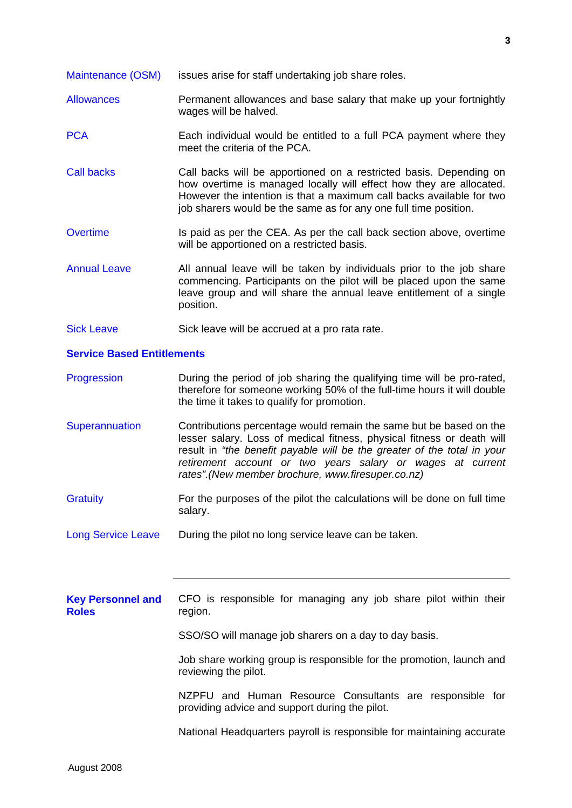Maintenance (OSM) issues arise for staff undertaking job share roles.

- Allowances Permanent allowances and base salary that make up your fortnightly wages will be halved.
- PCA Each individual would be entitled to a full PCA payment where they meet the criteria of the PCA.
- Call backs Call backs will be apportioned on a restricted basis. Depending on how overtime is managed locally will effect how they are allocated. However the intention is that a maximum call backs available for two job sharers would be the same as for any one full time position.
- Overtime Is paid as per the CEA. As per the call back section above, overtime will be apportioned on a restricted basis.
- Annual Leave All annual leave will be taken by individuals prior to the job share commencing. Participants on the pilot will be placed upon the same leave group and will share the annual leave entitlement of a single position.
- Sick Leave Sick leave will be accrued at a pro rata rate.

## **Service Based Entitlements**

- Progression **During the period of job sharing the qualifying time will be pro-rated,** therefore for someone working 50% of the full-time hours it will double the time it takes to qualify for promotion.
- Superannuation Contributions percentage would remain the same but be based on the lesser salary. Loss of medical fitness, physical fitness or death will result in *"the benefit payable will be the greater of the total in your retirement account or two years salary or wages at current rates".(New member brochure, www.firesuper.co.nz)*
- Gratuity For the purposes of the pilot the calculations will be done on full time salary.
- Long Service Leave During the pilot no long service leave can be taken.

**Key Personnel and Roles** CFO is responsible for managing any job share pilot within their region.

SSO/SO will manage job sharers on a day to day basis.

Job share working group is responsible for the promotion, launch and reviewing the pilot.

NZPFU and Human Resource Consultants are responsible for providing advice and support during the pilot.

National Headquarters payroll is responsible for maintaining accurate